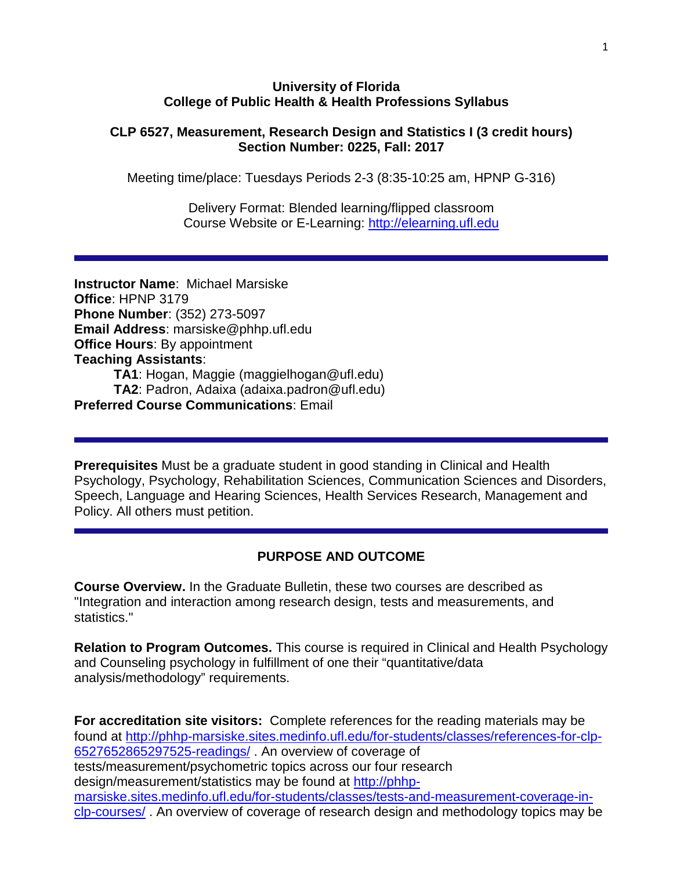#### **University of Florida College of Public Health & Health Professions Syllabus**

#### **CLP 6527, Measurement, Research Design and Statistics I (3 credit hours) Section Number: 0225, Fall: 2017**

Meeting time/place: Tuesdays Periods 2-3 (8:35-10:25 am, HPNP G-316)

Delivery Format: Blended learning/flipped classroom Course Website or E-Learning: [http://elearning.ufl.edu](http://elearning.ufl.edu/)

**Instructor Name**: Michael Marsiske **Office**: HPNP 3179 **Phone Number**: (352) 273-5097 **Email Address**: marsiske@phhp.ufl.edu **Office Hours**: By appointment **Teaching Assistants**: **TA1**: Hogan, Maggie (maggielhogan@ufl.edu) **TA2**: Padron, Adaixa (adaixa.padron@ufl.edu) **Preferred Course Communications**: Email

**Prerequisites** Must be a graduate student in good standing in Clinical and Health Psychology, Psychology, Rehabilitation Sciences, Communication Sciences and Disorders, Speech, Language and Hearing Sciences, Health Services Research, Management and Policy. All others must petition.

#### **PURPOSE AND OUTCOME**

**Course Overview.** In the Graduate Bulletin, these two courses are described as "Integration and interaction among research design, tests and measurements, and statistics."

**Relation to Program Outcomes.** This course is required in Clinical and Health Psychology and Counseling psychology in fulfillment of one their "quantitative/data analysis/methodology" requirements.

**For accreditation site visitors:** Complete references for the reading materials may be found at [http://phhp-marsiske.sites.medinfo.ufl.edu/for-students/classes/references-for-clp-](http://phhp-marsiske.sites.medinfo.ufl.edu/for-students/classes/references-for-clp-6527652865297525-readings/)[6527652865297525-readings/](http://phhp-marsiske.sites.medinfo.ufl.edu/for-students/classes/references-for-clp-6527652865297525-readings/) . An overview of coverage of tests/measurement/psychometric topics across our four research design/measurement/statistics may be found at [http://phhp](http://phhp-marsiske.sites.medinfo.ufl.edu/for-students/classes/tests-and-measurement-coverage-in-clp-courses/)[marsiske.sites.medinfo.ufl.edu/for-students/classes/tests-and-measurement-coverage-in](http://phhp-marsiske.sites.medinfo.ufl.edu/for-students/classes/tests-and-measurement-coverage-in-clp-courses/)[clp-courses/](http://phhp-marsiske.sites.medinfo.ufl.edu/for-students/classes/tests-and-measurement-coverage-in-clp-courses/) . An overview of coverage of research design and methodology topics may be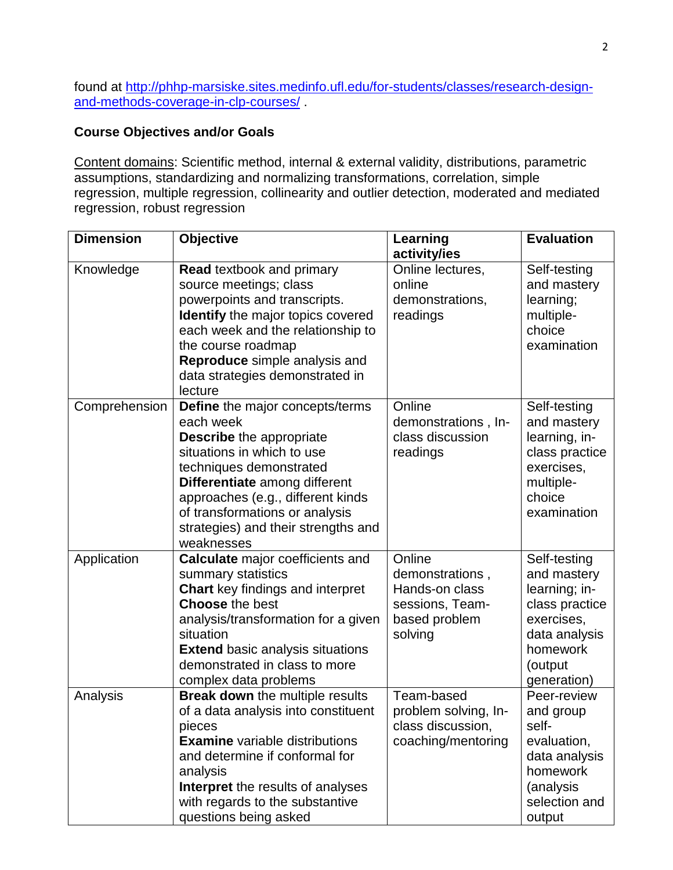found at [http://phhp-marsiske.sites.medinfo.ufl.edu/for-students/classes/research-design](http://phhp-marsiske.sites.medinfo.ufl.edu/for-students/classes/research-design-and-methods-coverage-in-clp-courses/)[and-methods-coverage-in-clp-courses/](http://phhp-marsiske.sites.medinfo.ufl.edu/for-students/classes/research-design-and-methods-coverage-in-clp-courses/) .

### **Course Objectives and/or Goals**

Content domains: Scientific method, internal & external validity, distributions, parametric assumptions, standardizing and normalizing transformations, correlation, simple regression, multiple regression, collinearity and outlier detection, moderated and mediated regression, robust regression

| <b>Dimension</b> | <b>Objective</b>                                                                                                                                                                                                                                                                                             | Learning<br>activity/ies                                                                   | <b>Evaluation</b>                                                                                                                   |
|------------------|--------------------------------------------------------------------------------------------------------------------------------------------------------------------------------------------------------------------------------------------------------------------------------------------------------------|--------------------------------------------------------------------------------------------|-------------------------------------------------------------------------------------------------------------------------------------|
| Knowledge        | <b>Read textbook and primary</b><br>source meetings; class<br>powerpoints and transcripts.<br><b>Identify</b> the major topics covered<br>each week and the relationship to<br>the course roadmap<br>Reproduce simple analysis and<br>data strategies demonstrated in<br>lecture                             | Online lectures,<br>online<br>demonstrations,<br>readings                                  | Self-testing<br>and mastery<br>learning;<br>multiple-<br>choice<br>examination                                                      |
| Comprehension    | <b>Define</b> the major concepts/terms<br>each week<br><b>Describe</b> the appropriate<br>situations in which to use<br>techniques demonstrated<br>Differentiate among different<br>approaches (e.g., different kinds<br>of transformations or analysis<br>strategies) and their strengths and<br>weaknesses | Online<br>demonstrations, In-<br>class discussion<br>readings                              | Self-testing<br>and mastery<br>learning, in-<br>class practice<br>exercises,<br>multiple-<br>choice<br>examination                  |
| Application      | <b>Calculate</b> major coefficients and<br>summary statistics<br><b>Chart</b> key findings and interpret<br><b>Choose the best</b><br>analysis/transformation for a given<br>situation<br><b>Extend basic analysis situations</b><br>demonstrated in class to more<br>complex data problems                  | Online<br>demonstrations,<br>Hands-on class<br>sessions, Team-<br>based problem<br>solving | Self-testing<br>and mastery<br>learning; in-<br>class practice<br>exercises,<br>data analysis<br>homework<br>(output<br>generation) |
| Analysis         | <b>Break down</b> the multiple results<br>of a data analysis into constituent<br>pieces<br><b>Examine</b> variable distributions<br>and determine if conformal for<br>analysis<br><b>Interpret</b> the results of analyses<br>with regards to the substantive<br>questions being asked                       | Team-based<br>problem solving, In-<br>class discussion,<br>coaching/mentoring              | Peer-review<br>and group<br>self-<br>evaluation,<br>data analysis<br>homework<br>(analysis<br>selection and<br>output               |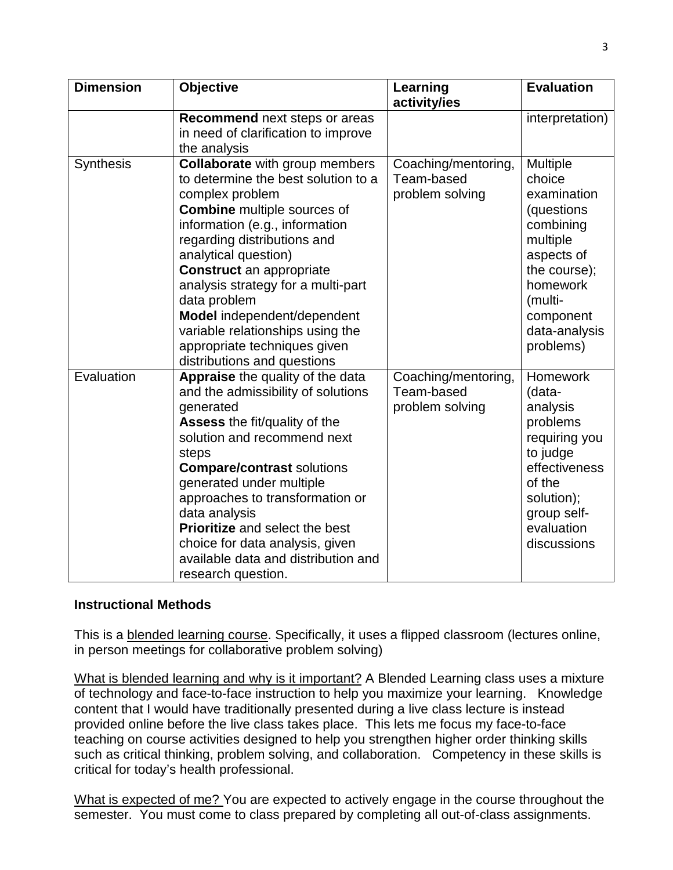| <b>Dimension</b> | Objective                                                                                                                                                                                                                                                                                                                                                                                                                                                 | Learning<br>activity/ies                             | <b>Evaluation</b>                                                                                                                                                        |
|------------------|-----------------------------------------------------------------------------------------------------------------------------------------------------------------------------------------------------------------------------------------------------------------------------------------------------------------------------------------------------------------------------------------------------------------------------------------------------------|------------------------------------------------------|--------------------------------------------------------------------------------------------------------------------------------------------------------------------------|
|                  | Recommend next steps or areas<br>in need of clarification to improve<br>the analysis                                                                                                                                                                                                                                                                                                                                                                      |                                                      | interpretation)                                                                                                                                                          |
| <b>Synthesis</b> | <b>Collaborate with group members</b><br>to determine the best solution to a<br>complex problem<br><b>Combine</b> multiple sources of<br>information (e.g., information<br>regarding distributions and<br>analytical question)<br><b>Construct</b> an appropriate<br>analysis strategy for a multi-part<br>data problem<br>Model independent/dependent<br>variable relationships using the<br>appropriate techniques given<br>distributions and questions | Coaching/mentoring,<br>Team-based<br>problem solving | Multiple<br>choice<br>examination<br>(questions<br>combining<br>multiple<br>aspects of<br>the course);<br>homework<br>(multi-<br>component<br>data-analysis<br>problems) |
| Evaluation       | Appraise the quality of the data<br>and the admissibility of solutions<br>generated<br><b>Assess the fit/quality of the</b><br>solution and recommend next<br>steps<br><b>Compare/contrast solutions</b><br>generated under multiple<br>approaches to transformation or<br>data analysis<br>Prioritize and select the best<br>choice for data analysis, given<br>available data and distribution and<br>research question.                                | Coaching/mentoring,<br>Team-based<br>problem solving | <b>Homework</b><br>(data-<br>analysis<br>problems<br>requiring you<br>to judge<br>effectiveness<br>of the<br>solution);<br>group self-<br>evaluation<br>discussions      |

#### **Instructional Methods**

This is a blended learning course. Specifically, it uses a flipped classroom (lectures online, in person meetings for collaborative problem solving)

What is blended learning and why is it important? A Blended Learning class uses a mixture of technology and face-to-face instruction to help you maximize your learning. Knowledge content that I would have traditionally presented during a live class lecture is instead provided online before the live class takes place. This lets me focus my face-to-face teaching on course activities designed to help you strengthen higher order thinking skills such as critical thinking, problem solving, and collaboration. Competency in these skills is critical for today's health professional.

What is expected of me? You are expected to actively engage in the course throughout the semester. You must come to class prepared by completing all out-of-class assignments.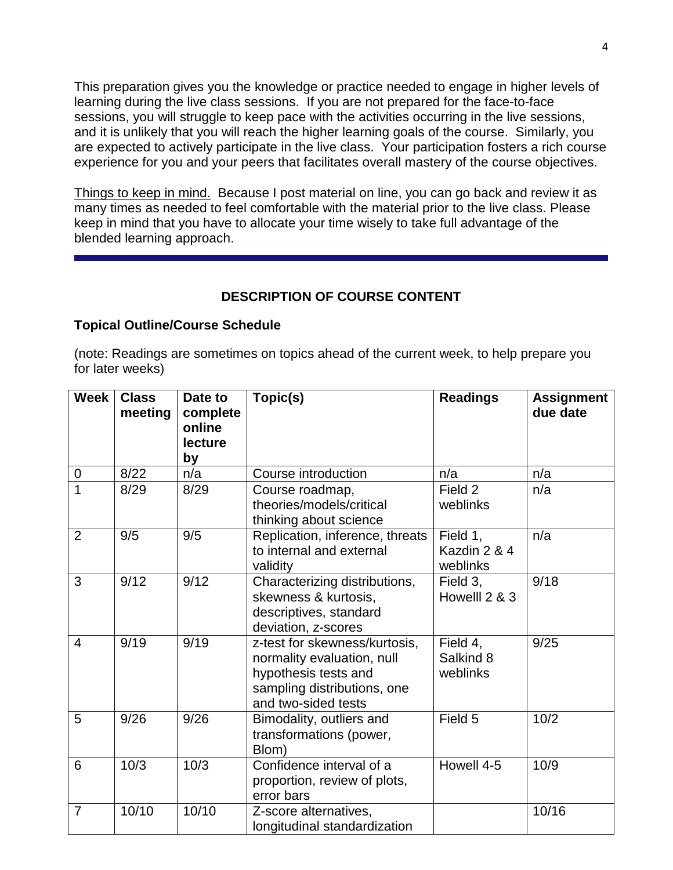This preparation gives you the knowledge or practice needed to engage in higher levels of learning during the live class sessions. If you are not prepared for the face-to-face sessions, you will struggle to keep pace with the activities occurring in the live sessions, and it is unlikely that you will reach the higher learning goals of the course. Similarly, you are expected to actively participate in the live class. Your participation fosters a rich course experience for you and your peers that facilitates overall mastery of the course objectives.

Things to keep in mind. Because I post material on line, you can go back and review it as many times as needed to feel comfortable with the material prior to the live class. Please keep in mind that you have to allocate your time wisely to take full advantage of the blended learning approach.

# **DESCRIPTION OF COURSE CONTENT**

#### **Topical Outline/Course Schedule**

(note: Readings are sometimes on topics ahead of the current week, to help prepare you for later weeks)

| <b>Week</b>    | <b>Class</b><br>meeting | Date to<br>complete<br>online<br>lecture<br>by | Topic(s)                                                                                                                                  | <b>Readings</b>                      | <b>Assignment</b><br>due date |
|----------------|-------------------------|------------------------------------------------|-------------------------------------------------------------------------------------------------------------------------------------------|--------------------------------------|-------------------------------|
| 0              | 8/22                    | n/a                                            | Course introduction                                                                                                                       | n/a                                  | n/a                           |
| $\overline{1}$ | 8/29                    | 8/29                                           | Course roadmap,<br>theories/models/critical<br>thinking about science                                                                     | Field 2<br>weblinks                  | n/a                           |
| 2              | 9/5                     | 9/5                                            | Replication, inference, threats<br>to internal and external<br>validity                                                                   | Field 1,<br>Kazdin 2 & 4<br>weblinks | n/a                           |
| 3              | 9/12                    | 9/12                                           | Characterizing distributions,<br>skewness & kurtosis,<br>descriptives, standard<br>deviation, z-scores                                    | Field 3,<br>Howelll 2 & 3            | 9/18                          |
| 4              | 9/19                    | 9/19                                           | z-test for skewness/kurtosis,<br>normality evaluation, null<br>hypothesis tests and<br>sampling distributions, one<br>and two-sided tests | Field 4,<br>Salkind 8<br>weblinks    | 9/25                          |
| 5              | 9/26                    | 9/26                                           | Bimodality, outliers and<br>transformations (power,<br>Blom)                                                                              | Field 5                              | 10/2                          |
| 6              | 10/3                    | 10/3                                           | Confidence interval of a<br>proportion, review of plots,<br>error bars                                                                    | Howell 4-5                           | 10/9                          |
| $\overline{7}$ | 10/10                   | 10/10                                          | Z-score alternatives,<br>longitudinal standardization                                                                                     |                                      | 10/16                         |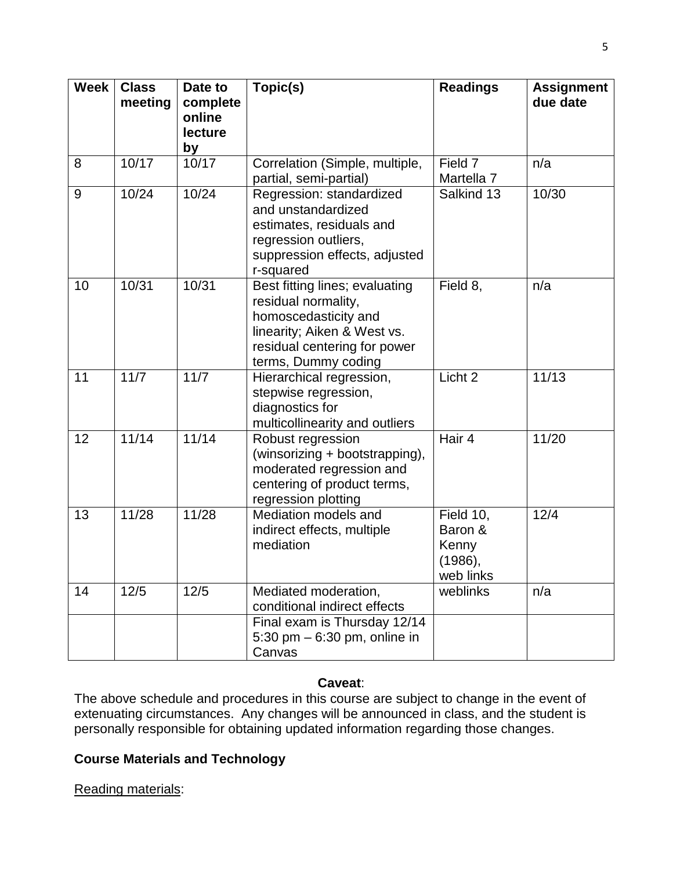| <b>Week</b> | <b>Class</b><br>meeting | Date to<br>complete<br>online<br>lecture<br>by | Topic(s)                                                                                                                                                            | <b>Readings</b>                                       | <b>Assignment</b><br>due date |
|-------------|-------------------------|------------------------------------------------|---------------------------------------------------------------------------------------------------------------------------------------------------------------------|-------------------------------------------------------|-------------------------------|
| 8           | 10/17                   | 10/17                                          | Correlation (Simple, multiple,<br>partial, semi-partial)                                                                                                            | Field 7<br>Martella 7                                 | n/a                           |
| 9           | 10/24                   | 10/24                                          | Regression: standardized<br>and unstandardized<br>estimates, residuals and<br>regression outliers,<br>suppression effects, adjusted<br>r-squared                    | Salkind 13                                            | 10/30                         |
| 10          | 10/31                   | 10/31                                          | Best fitting lines; evaluating<br>residual normality,<br>homoscedasticity and<br>linearity; Aiken & West vs.<br>residual centering for power<br>terms, Dummy coding | Field 8,                                              | n/a                           |
| 11          | 11/7                    | 11/7                                           | Hierarchical regression,<br>stepwise regression,<br>diagnostics for<br>multicollinearity and outliers                                                               | Licht 2                                               | 11/13                         |
| 12          | 11/14                   | 11/14                                          | Robust regression<br>(winsorizing + bootstrapping),<br>moderated regression and<br>centering of product terms,<br>regression plotting                               | Hair 4                                                | 11/20                         |
| 13          | 11/28                   | 11/28                                          | Mediation models and<br>indirect effects, multiple<br>mediation                                                                                                     | Field 10,<br>Baron &<br>Kenny<br>(1986),<br>web links | 12/4                          |
| 14          | 12/5                    | 12/5                                           | Mediated moderation,<br>conditional indirect effects                                                                                                                | weblinks                                              | n/a                           |
|             |                         |                                                | Final exam is Thursday 12/14<br>5:30 pm $-$ 6:30 pm, online in<br>Canvas                                                                                            |                                                       |                               |

#### **Caveat**:

The above schedule and procedures in this course are subject to change in the event of extenuating circumstances. Any changes will be announced in class, and the student is personally responsible for obtaining updated information regarding those changes.

### **Course Materials and Technology**

Reading materials: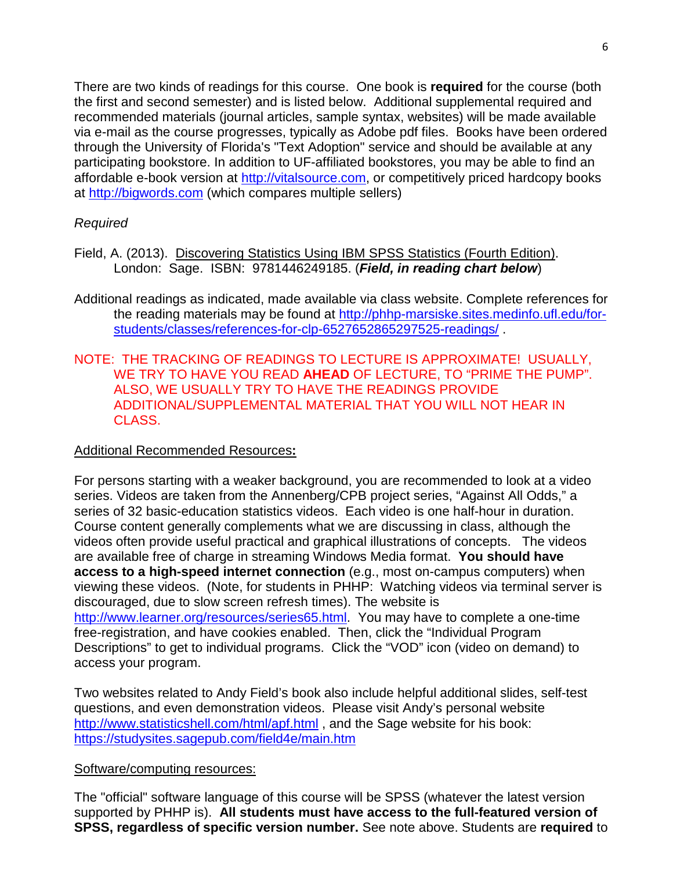There are two kinds of readings for this course. One book is **required** for the course (both the first and second semester) and is listed below. Additional supplemental required and recommended materials (journal articles, sample syntax, websites) will be made available via e-mail as the course progresses, typically as Adobe pdf files. Books have been ordered through the University of Florida's "Text Adoption" service and should be available at any participating bookstore. In addition to UF-affiliated bookstores, you may be able to find an affordable e-book version at [http://vitalsource.com,](http://vitalsource.com/) or competitively priced hardcopy books at [http://bigwords.com](http://bigwords.com/) (which compares multiple sellers)

### *Required*

- Field, A. (2013). Discovering Statistics Using IBM SPSS Statistics (Fourth Edition). London: Sage. ISBN: 9781446249185. (*Field, in reading chart below*)
- Additional readings as indicated, made available via class website. Complete references for the reading materials may be found at [http://phhp-marsiske.sites.medinfo.ufl.edu/for](http://phhp-marsiske.sites.medinfo.ufl.edu/for-students/classes/references-for-clp-6527652865297525-readings/)[students/classes/references-for-clp-6527652865297525-readings/](http://phhp-marsiske.sites.medinfo.ufl.edu/for-students/classes/references-for-clp-6527652865297525-readings/) .
- NOTE: THE TRACKING OF READINGS TO LECTURE IS APPROXIMATE! USUALLY, WE TRY TO HAVE YOU READ **AHEAD** OF LECTURE, TO "PRIME THE PUMP". ALSO, WE USUALLY TRY TO HAVE THE READINGS PROVIDE ADDITIONAL/SUPPLEMENTAL MATERIAL THAT YOU WILL NOT HEAR IN CLASS.

#### Additional Recommended Resources**:**

For persons starting with a weaker background, you are recommended to look at a video series. Videos are taken from the Annenberg/CPB project series, "Against All Odds," a series of 32 basic-education statistics videos. Each video is one half-hour in duration. Course content generally complements what we are discussing in class, although the videos often provide useful practical and graphical illustrations of concepts. The videos are available free of charge in streaming Windows Media format. **You should have access to a high-speed internet connection** (e.g., most on-campus computers) when viewing these videos. (Note, for students in PHHP: Watching videos via terminal server is discouraged, due to slow screen refresh times). The website is [http://www.learner.org/resources/series65.html.](http://www.learner.org/resources/series65.html) You may have to complete a one-time free-registration, and have cookies enabled. Then, click the "Individual Program Descriptions" to get to individual programs. Click the "VOD" icon (video on demand) to access your program.

Two websites related to Andy Field's book also include helpful additional slides, self-test questions, and even demonstration videos. Please visit Andy's personal website <http://www.statisticshell.com/html/apf.html>, and the Sage website for his book: <https://studysites.sagepub.com/field4e/main.htm>

#### Software/computing resources:

The "official" software language of this course will be SPSS (whatever the latest version supported by PHHP is). **All students must have access to the full-featured version of SPSS, regardless of specific version number.** See note above. Students are **required** to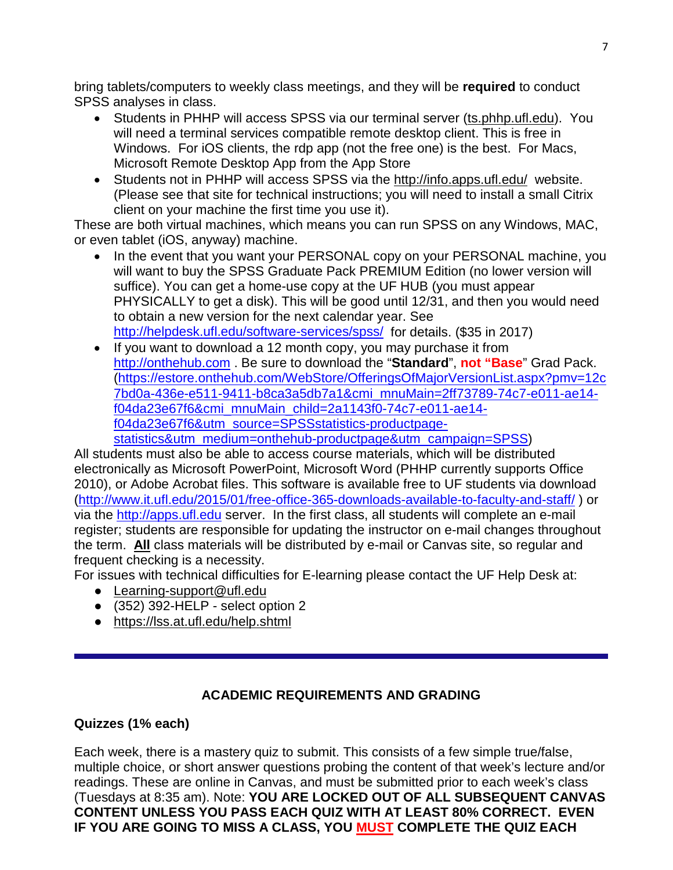bring tablets/computers to weekly class meetings, and they will be **required** to conduct SPSS analyses in class.

- Students in PHHP will access SPSS via our terminal server (ts.phhp.ufl.edu). You will need a terminal services compatible remote desktop client. This is free in Windows. For iOS clients, the rdp app (not the free one) is the best. For Macs, Microsoft Remote Desktop App from the App Store
- Students not in PHHP will access SPSS via the http://info.apps.ufl.edu/ website. (Please see that site for technical instructions; you will need to install a small Citrix client on your machine the first time you use it).

These are both virtual machines, which means you can run SPSS on any Windows, MAC, or even tablet (iOS, anyway) machine.

- In the event that you want your PERSONAL copy on your PERSONAL machine, you will want to buy the SPSS Graduate Pack PREMIUM Edition (no lower version will suffice). You can get a home-use copy at the UF HUB (you must appear PHYSICALLY to get a disk). This will be good until 12/31, and then you would need to obtain a new version for the next calendar year. See <http://helpdesk.ufl.edu/software-services/spss/> for details. (\$35 in 2017)
- If you want to download a 12 month copy, you may purchase it from [http://onthehub.com](http://onthehub.com/) . Be sure to download the "**Standard**", **not "Base**" Grad Pack. [\(https://estore.onthehub.com/WebStore/OfferingsOfMajorVersionList.aspx?pmv=12c](https://estore.onthehub.com/WebStore/OfferingsOfMajorVersionList.aspx?pmv=12c7bd0a-436e-e511-9411-b8ca3a5db7a1&cmi_mnuMain=2ff73789-74c7-e011-ae14-f04da23e67f6&cmi_mnuMain_child=2a1143f0-74c7-e011-ae14-f04da23e67f6&utm_source=SPSSstatistics-productpage-statistics&utm_medium=onthehub-productpage&utm_campaign=SPSS) [7bd0a-436e-e511-9411-b8ca3a5db7a1&cmi\\_mnuMain=2ff73789-74c7-e011-ae14](https://estore.onthehub.com/WebStore/OfferingsOfMajorVersionList.aspx?pmv=12c7bd0a-436e-e511-9411-b8ca3a5db7a1&cmi_mnuMain=2ff73789-74c7-e011-ae14-f04da23e67f6&cmi_mnuMain_child=2a1143f0-74c7-e011-ae14-f04da23e67f6&utm_source=SPSSstatistics-productpage-statistics&utm_medium=onthehub-productpage&utm_campaign=SPSS) [f04da23e67f6&cmi\\_mnuMain\\_child=2a1143f0-74c7-e011-ae14](https://estore.onthehub.com/WebStore/OfferingsOfMajorVersionList.aspx?pmv=12c7bd0a-436e-e511-9411-b8ca3a5db7a1&cmi_mnuMain=2ff73789-74c7-e011-ae14-f04da23e67f6&cmi_mnuMain_child=2a1143f0-74c7-e011-ae14-f04da23e67f6&utm_source=SPSSstatistics-productpage-statistics&utm_medium=onthehub-productpage&utm_campaign=SPSS) [f04da23e67f6&utm\\_source=SPSSstatistics-productpage](https://estore.onthehub.com/WebStore/OfferingsOfMajorVersionList.aspx?pmv=12c7bd0a-436e-e511-9411-b8ca3a5db7a1&cmi_mnuMain=2ff73789-74c7-e011-ae14-f04da23e67f6&cmi_mnuMain_child=2a1143f0-74c7-e011-ae14-f04da23e67f6&utm_source=SPSSstatistics-productpage-statistics&utm_medium=onthehub-productpage&utm_campaign=SPSS)[statistics&utm\\_medium=onthehub-productpage&utm\\_campaign=SPSS\)](https://estore.onthehub.com/WebStore/OfferingsOfMajorVersionList.aspx?pmv=12c7bd0a-436e-e511-9411-b8ca3a5db7a1&cmi_mnuMain=2ff73789-74c7-e011-ae14-f04da23e67f6&cmi_mnuMain_child=2a1143f0-74c7-e011-ae14-f04da23e67f6&utm_source=SPSSstatistics-productpage-statistics&utm_medium=onthehub-productpage&utm_campaign=SPSS)

All students must also be able to access course materials, which will be distributed electronically as Microsoft PowerPoint, Microsoft Word (PHHP currently supports Office 2010), or Adobe Acrobat files. This software is available free to UF students via download [\(http://www.it.ufl.edu/2015/01/free-office-365-downloads-available-to-faculty-and-staff/](http://www.it.ufl.edu/2015/01/free-office-365-downloads-available-to-faculty-and-staff/) ) or via the [http://apps.ufl.edu](http://apps.ufl.edu/) server. In the first class, all students will complete an e-mail register; students are responsible for updating the instructor on e-mail changes throughout the term. **All** class materials will be distributed by e-mail or Canvas site, so regular and frequent checking is a necessity.

For issues with technical difficulties for E-learning please contact the UF Help Desk at:

- Learning-support@ufl.edu
- $\bullet$  (352) 392-HELP select option 2
- <https://lss.at.ufl.edu/help.shtml>

### **ACADEMIC REQUIREMENTS AND GRADING**

### **Quizzes (1% each)**

Each week, there is a mastery quiz to submit. This consists of a few simple true/false, multiple choice, or short answer questions probing the content of that week's lecture and/or readings. These are online in Canvas, and must be submitted prior to each week's class (Tuesdays at 8:35 am). Note: **YOU ARE LOCKED OUT OF ALL SUBSEQUENT CANVAS CONTENT UNLESS YOU PASS EACH QUIZ WITH AT LEAST 80% CORRECT. EVEN IF YOU ARE GOING TO MISS A CLASS, YOU MUST COMPLETE THE QUIZ EACH**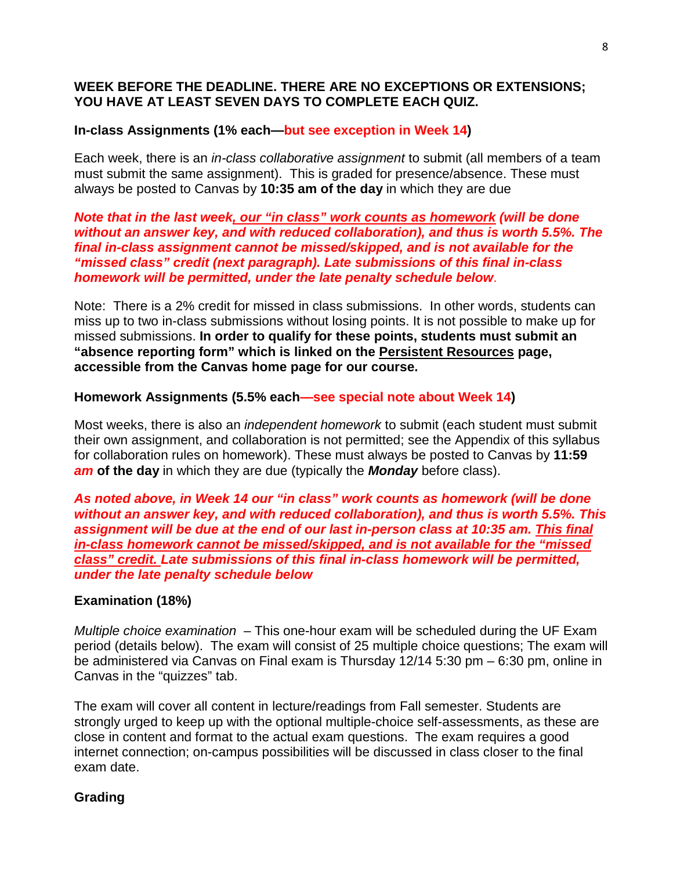### **WEEK BEFORE THE DEADLINE. THERE ARE NO EXCEPTIONS OR EXTENSIONS; YOU HAVE AT LEAST SEVEN DAYS TO COMPLETE EACH QUIZ.**

### **In-class Assignments (1% each—but see exception in Week 14)**

Each week, there is an *in-class collaborative assignment* to submit (all members of a team must submit the same assignment). This is graded for presence/absence. These must always be posted to Canvas by **10:35 am of the day** in which they are due

*Note that in the last week, our "in class" work counts as homework (will be done without an answer key, and with reduced collaboration), and thus is worth 5.5%. The final in-class assignment cannot be missed/skipped, and is not available for the "missed class" credit (next paragraph). Late submissions of this final in-class homework will be permitted, under the late penalty schedule below*.

Note: There is a 2% credit for missed in class submissions. In other words, students can miss up to two in-class submissions without losing points. It is not possible to make up for missed submissions. **In order to qualify for these points, students must submit an "absence reporting form" which is linked on the Persistent Resources page, accessible from the Canvas home page for our course.** 

#### **Homework Assignments (5.5% each—see special note about Week 14)**

Most weeks, there is also an *independent homework* to submit (each student must submit their own assignment, and collaboration is not permitted; see the Appendix of this syllabus for collaboration rules on homework). These must always be posted to Canvas by **11:59**  *am* **of the day** in which they are due (typically the *Monday* before class).

*As noted above, in Week 14 our "in class" work counts as homework (will be done without an answer key, and with reduced collaboration), and thus is worth 5.5%. This assignment will be due at the end of our last in-person class at 10:35 am. This final in-class homework cannot be missed/skipped, and is not available for the "missed class" credit. Late submissions of this final in-class homework will be permitted, under the late penalty schedule below*

#### **Examination (18%)**

*Multiple choice examination* – This one-hour exam will be scheduled during the UF Exam period (details below). The exam will consist of 25 multiple choice questions; The exam will be administered via Canvas on Final exam is Thursday 12/14 5:30 pm – 6:30 pm, online in Canvas in the "quizzes" tab.

The exam will cover all content in lecture/readings from Fall semester. Students are strongly urged to keep up with the optional multiple-choice self-assessments, as these are close in content and format to the actual exam questions. The exam requires a good internet connection; on-campus possibilities will be discussed in class closer to the final exam date.

#### **Grading**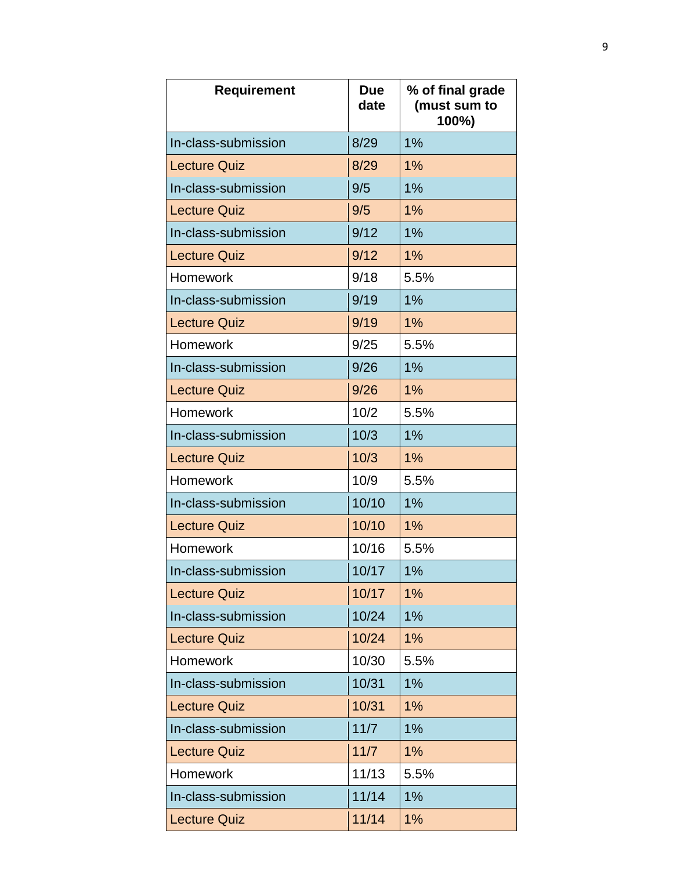| <b>Requirement</b>  | <b>Due</b><br>date | % of final grade<br>(must sum to<br>100%) |
|---------------------|--------------------|-------------------------------------------|
| In-class-submission | 8/29               | 1%                                        |
| <b>Lecture Quiz</b> | 8/29               | 1%                                        |
| In-class-submission | 9/5                | 1%                                        |
| <b>Lecture Quiz</b> | 9/5                | 1%                                        |
| In-class-submission | 9/12               | 1%                                        |
| <b>Lecture Quiz</b> | 9/12               | 1%                                        |
| <b>Homework</b>     | 9/18               | 5.5%                                      |
| In-class-submission | 9/19               | 1%                                        |
| <b>Lecture Quiz</b> | 9/19               | 1%                                        |
| Homework            | 9/25               | 5.5%                                      |
| In-class-submission | 9/26               | 1%                                        |
| <b>Lecture Quiz</b> | 9/26               | 1%                                        |
| <b>Homework</b>     | 10/2               | 5.5%                                      |
| In-class-submission | 10/3               | 1%                                        |
| <b>Lecture Quiz</b> | 10/3               | 1%                                        |
| Homework            | 10/9               | 5.5%                                      |
| In-class-submission | 10/10              | 1%                                        |
| <b>Lecture Quiz</b> | 10/10              | 1%                                        |
| <b>Homework</b>     | 10/16              | 5.5%                                      |
| In-class-submission | 10/17              | 1%                                        |
| <b>Lecture Quiz</b> | 10/17              | 1%                                        |
| In-class-submission | 10/24              | 1%                                        |
| <b>Lecture Quiz</b> | 10/24              | 1%                                        |
| Homework            | 10/30              | 5.5%                                      |
| In-class-submission | 10/31              | 1%                                        |
| <b>Lecture Quiz</b> | 10/31              | 1%                                        |
| In-class-submission | 11/7               | 1%                                        |
| <b>Lecture Quiz</b> | 11/7               | 1%                                        |
| <b>Homework</b>     | 11/13              | 5.5%                                      |
| In-class-submission | 11/14              | 1%                                        |
| <b>Lecture Quiz</b> | 11/14              | 1%                                        |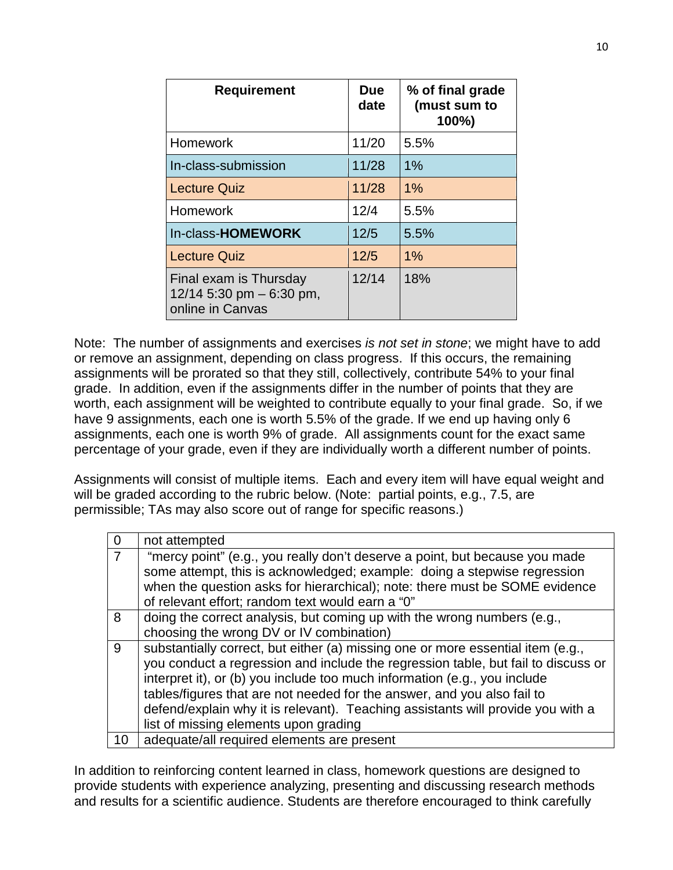| <b>Requirement</b>                                                       | <b>Due</b><br>date | % of final grade<br>(must sum to<br>100%) |
|--------------------------------------------------------------------------|--------------------|-------------------------------------------|
| Homework                                                                 | 11/20              | 5.5%                                      |
| In-class-submission                                                      | 11/28              | 1%                                        |
| <b>Lecture Quiz</b>                                                      | 11/28              | 1%                                        |
| <b>Homework</b>                                                          | 12/4               | 5.5%                                      |
| In-class-HOMEWORK                                                        | 12/5               | 5.5%                                      |
| <b>Lecture Quiz</b>                                                      | 12/5               | 1%                                        |
| Final exam is Thursday<br>12/14 5:30 pm $-$ 6:30 pm,<br>online in Canvas | 12/14              | 18%                                       |

Note: The number of assignments and exercises *is not set in stone*; we might have to add or remove an assignment, depending on class progress. If this occurs, the remaining assignments will be prorated so that they still, collectively, contribute 54% to your final grade. In addition, even if the assignments differ in the number of points that they are worth, each assignment will be weighted to contribute equally to your final grade. So, if we have 9 assignments, each one is worth 5.5% of the grade. If we end up having only 6 assignments, each one is worth 9% of grade. All assignments count for the exact same percentage of your grade, even if they are individually worth a different number of points.

Assignments will consist of multiple items. Each and every item will have equal weight and will be graded according to the rubric below. (Note: partial points, e.g., 7.5, are permissible; TAs may also score out of range for specific reasons.)

| $\Omega$       | not attempted                                                                                                                                                                                                                                                                                                                                                                                                                                            |
|----------------|----------------------------------------------------------------------------------------------------------------------------------------------------------------------------------------------------------------------------------------------------------------------------------------------------------------------------------------------------------------------------------------------------------------------------------------------------------|
| $\overline{7}$ | "mercy point" (e.g., you really don't deserve a point, but because you made<br>some attempt, this is acknowledged; example: doing a stepwise regression                                                                                                                                                                                                                                                                                                  |
|                | when the question asks for hierarchical); note: there must be SOME evidence<br>of relevant effort; random text would earn a "0"                                                                                                                                                                                                                                                                                                                          |
| 8              | doing the correct analysis, but coming up with the wrong numbers (e.g.,<br>choosing the wrong DV or IV combination)                                                                                                                                                                                                                                                                                                                                      |
| 9              | substantially correct, but either (a) missing one or more essential item (e.g.,<br>you conduct a regression and include the regression table, but fail to discuss or<br>interpret it), or (b) you include too much information (e.g., you include<br>tables/figures that are not needed for the answer, and you also fail to<br>defend/explain why it is relevant). Teaching assistants will provide you with a<br>list of missing elements upon grading |
| 10             | adequate/all required elements are present                                                                                                                                                                                                                                                                                                                                                                                                               |

In addition to reinforcing content learned in class, homework questions are designed to provide students with experience analyzing, presenting and discussing research methods and results for a scientific audience. Students are therefore encouraged to think carefully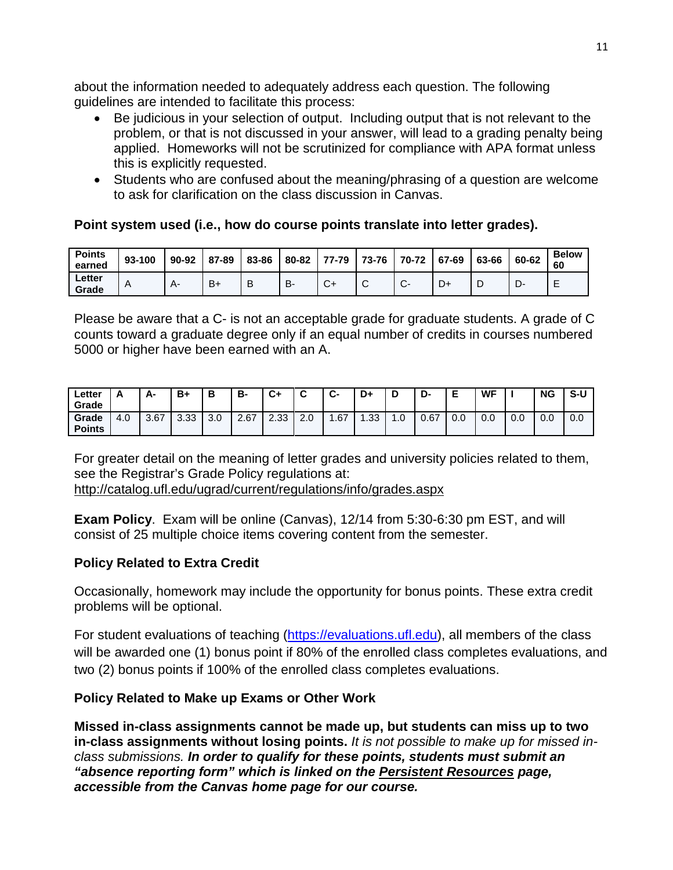about the information needed to adequately address each question. The following guidelines are intended to facilitate this process:

- Be judicious in your selection of output. Including output that is not relevant to the problem, or that is not discussed in your answer, will lead to a grading penalty being applied. Homeworks will not be scrutinized for compliance with APA format unless this is explicitly requested.
- Students who are confused about the meaning/phrasing of a question are welcome to ask for clarification on the class discussion in Canvas.

### **Point system used (i.e., how do course points translate into letter grades).**

| <b>Points</b><br>earned | 93-100 | 90-92 | 87-89 | 83-86 | 80-82 | 77-79 | 73-76 | 70-72             | 67-69 | 63-66 | 60-62 | <b>Below</b><br>60 |
|-------------------------|--------|-------|-------|-------|-------|-------|-------|-------------------|-------|-------|-------|--------------------|
| Letter<br>Grade         | A      |       | $B+$  | B     | В.    | ◡+    | ັ     | ⌒<br>$\mathbf{v}$ | D+    |       |       |                    |

Please be aware that a C- is not an acceptable grade for graduate students. A grade of C counts toward a graduate degree only if an equal number of credits in courses numbered 5000 or higher have been earned with an A.

| ∟etter<br>Grade        |     | А-   | B+   | в   | В-   | <u>r</u> .<br>v, | ◠   | ⌒<br><b>UT</b> | D+        | -<br>ш | D-   | -<br>- | <b>WF</b> |                      | <b>NG</b> | $S-U$ |
|------------------------|-----|------|------|-----|------|------------------|-----|----------------|-----------|--------|------|--------|-----------|----------------------|-----------|-------|
| Grade<br><b>Points</b> | 4.0 | 3.67 | 3.33 | 3.0 | 2.67 | 2.33             | 2.0 | .67            | 33<br>.აა | ن.     | 0.67 | 0.0    | 0.0       | $\sim$ $\sim$<br>v.v | 0.0       | 0.0   |

For greater detail on the meaning of letter grades and university policies related to them, see the Registrar's Grade Policy regulations at: <http://catalog.ufl.edu/ugrad/current/regulations/info/grades.aspx>

**Exam Policy**. Exam will be online (Canvas), 12/14 from 5:30-6:30 pm EST, and will consist of 25 multiple choice items covering content from the semester.

### **Policy Related to Extra Credit**

Occasionally, homework may include the opportunity for bonus points. These extra credit problems will be optional.

For student evaluations of teaching [\(https://evaluations.ufl.edu\)](https://evaluations.ufl.edu/), all members of the class will be awarded one (1) bonus point if 80% of the enrolled class completes evaluations, and two (2) bonus points if 100% of the enrolled class completes evaluations.

### **Policy Related to Make up Exams or Other Work**

**Missed in-class assignments cannot be made up, but students can miss up to two in-class assignments without losing points.** *It is not possible to make up for missed inclass submissions. In order to qualify for these points, students must submit an "absence reporting form" which is linked on the Persistent Resources page, accessible from the Canvas home page for our course.*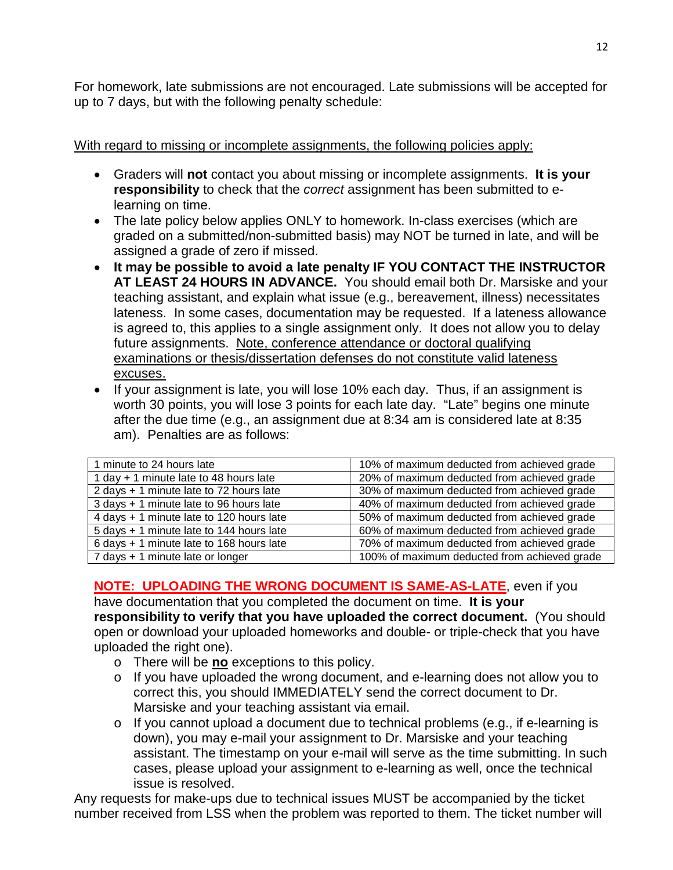For homework, late submissions are not encouraged. Late submissions will be accepted for up to 7 days, but with the following penalty schedule:

### With regard to missing or incomplete assignments, the following policies apply:

- Graders will **not** contact you about missing or incomplete assignments. **It is your responsibility** to check that the *correct* assignment has been submitted to elearning on time.
- The late policy below applies ONLY to homework. In-class exercises (which are graded on a submitted/non-submitted basis) may NOT be turned in late, and will be assigned a grade of zero if missed.
- **It may be possible to avoid a late penalty IF YOU CONTACT THE INSTRUCTOR AT LEAST 24 HOURS IN ADVANCE.** You should email both Dr. Marsiske and your teaching assistant, and explain what issue (e.g., bereavement, illness) necessitates lateness. In some cases, documentation may be requested. If a lateness allowance is agreed to, this applies to a single assignment only. It does not allow you to delay future assignments. Note, conference attendance or doctoral qualifying examinations or thesis/dissertation defenses do not constitute valid lateness excuses.
- If your assignment is late, you will lose 10% each day. Thus, if an assignment is worth 30 points, you will lose 3 points for each late day. "Late" begins one minute after the due time (e.g., an assignment due at 8:34 am is considered late at 8:35 am). Penalties are as follows:

| 1 minute to 24 hours late                | 10% of maximum deducted from achieved grade  |
|------------------------------------------|----------------------------------------------|
| 1 day + 1 minute late to 48 hours late   | 20% of maximum deducted from achieved grade  |
| 2 days + 1 minute late to 72 hours late  | 30% of maximum deducted from achieved grade  |
| 3 days + 1 minute late to 96 hours late  | 40% of maximum deducted from achieved grade  |
| 4 days + 1 minute late to 120 hours late | 50% of maximum deducted from achieved grade  |
| 5 days + 1 minute late to 144 hours late | 60% of maximum deducted from achieved grade  |
| 6 days + 1 minute late to 168 hours late | 70% of maximum deducted from achieved grade  |
| 7 days + 1 minute late or longer         | 100% of maximum deducted from achieved grade |

### **NOTE: UPLOADING THE WRONG DOCUMENT IS SAME-AS-LATE**, even if you

have documentation that you completed the document on time. **It is your responsibility to verify that you have uploaded the correct document.** (You should open or download your uploaded homeworks and double- or triple-check that you have uploaded the right one).

- o There will be **no** exceptions to this policy.
- $\circ$  If you have uploaded the wrong document, and e-learning does not allow you to correct this, you should IMMEDIATELY send the correct document to Dr. Marsiske and your teaching assistant via email.
- o If you cannot upload a document due to technical problems (e.g., if e-learning is down), you may e-mail your assignment to Dr. Marsiske and your teaching assistant. The timestamp on your e-mail will serve as the time submitting. In such cases, please upload your assignment to e-learning as well, once the technical issue is resolved.

Any requests for make-ups due to technical issues MUST be accompanied by the ticket number received from LSS when the problem was reported to them. The ticket number will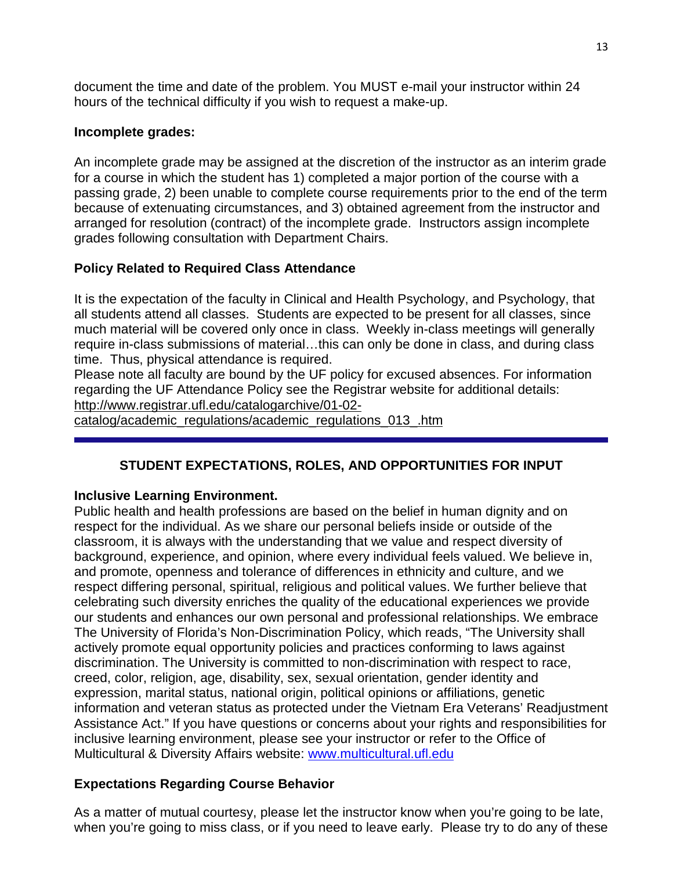document the time and date of the problem. You MUST e-mail your instructor within 24 hours of the technical difficulty if you wish to request a make-up.

#### **Incomplete grades:**

An incomplete grade may be assigned at the discretion of the instructor as an interim grade for a course in which the student has 1) completed a major portion of the course with a passing grade, 2) been unable to complete course requirements prior to the end of the term because of extenuating circumstances, and 3) obtained agreement from the instructor and arranged for resolution (contract) of the incomplete grade. Instructors assign incomplete grades following consultation with Department Chairs.

### **Policy Related to Required Class Attendance**

It is the expectation of the faculty in Clinical and Health Psychology, and Psychology, that all students attend all classes. Students are expected to be present for all classes, since much material will be covered only once in class. Weekly in-class meetings will generally require in-class submissions of material…this can only be done in class, and during class time. Thus, physical attendance is required.

Please note all faculty are bound by the UF policy for excused absences. For information regarding the UF Attendance Policy see the Registrar website for additional details: [http://www.registrar.ufl.edu/catalogarchive/01-02-](http://www.registrar.ufl.edu/catalogarchive/01-02-catalog/academic_regulations/academic_regulations_013_.htm)

[catalog/academic\\_regulations/academic\\_regulations\\_013\\_.htm](http://www.registrar.ufl.edu/catalogarchive/01-02-catalog/academic_regulations/academic_regulations_013_.htm)

# **STUDENT EXPECTATIONS, ROLES, AND OPPORTUNITIES FOR INPUT**

### **Inclusive Learning Environment.**

Public health and health professions are based on the belief in human dignity and on respect for the individual. As we share our personal beliefs inside or outside of the classroom, it is always with the understanding that we value and respect diversity of background, experience, and opinion, where every individual feels valued. We believe in, and promote, openness and tolerance of differences in ethnicity and culture, and we respect differing personal, spiritual, religious and political values. We further believe that celebrating such diversity enriches the quality of the educational experiences we provide our students and enhances our own personal and professional relationships. We embrace The University of Florida's Non-Discrimination Policy, which reads, "The University shall actively promote equal opportunity policies and practices conforming to laws against discrimination. The University is committed to non-discrimination with respect to race, creed, color, religion, age, disability, sex, sexual orientation, gender identity and expression, marital status, national origin, political opinions or affiliations, genetic information and veteran status as protected under the Vietnam Era Veterans' Readjustment Assistance Act." If you have questions or concerns about your rights and responsibilities for inclusive learning environment, please see your instructor or refer to the Office of Multicultural & Diversity Affairs website: [www.multicultural.ufl.edu](http://www.multicultural.ufl.edu/)

### **Expectations Regarding Course Behavior**

As a matter of mutual courtesy, please let the instructor know when you're going to be late, when you're going to miss class, or if you need to leave early. Please try to do any of these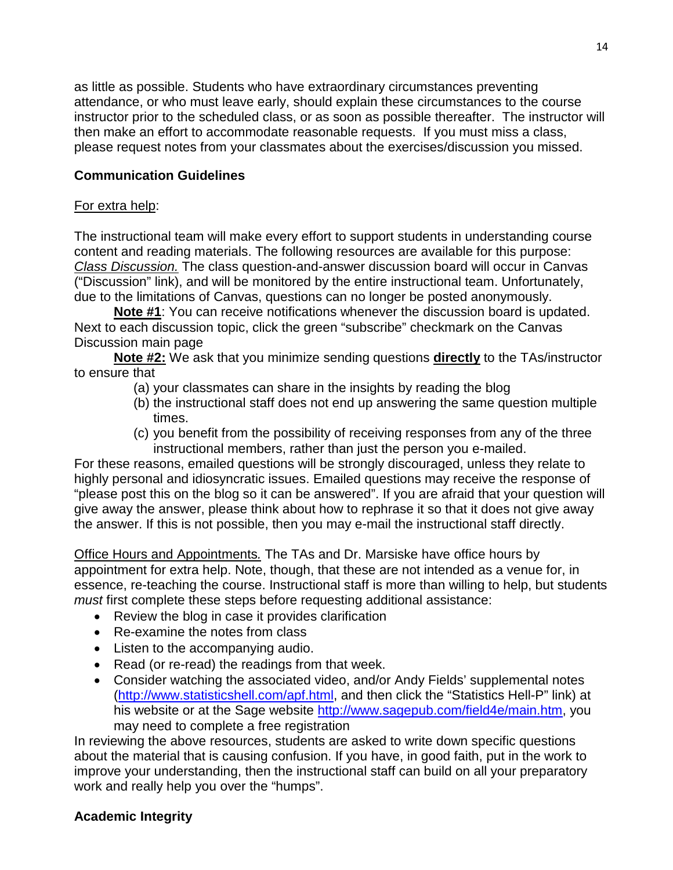as little as possible. Students who have extraordinary circumstances preventing attendance, or who must leave early, should explain these circumstances to the course instructor prior to the scheduled class, or as soon as possible thereafter. The instructor will then make an effort to accommodate reasonable requests. If you must miss a class, please request notes from your classmates about the exercises/discussion you missed.

### **Communication Guidelines**

#### For extra help:

The instructional team will make every effort to support students in understanding course content and reading materials. The following resources are available for this purpose: *Class Discussion.* The class question-and-answer discussion board will occur in Canvas ("Discussion" link), and will be monitored by the entire instructional team. Unfortunately, due to the limitations of Canvas, questions can no longer be posted anonymously.

**Note #1**: You can receive notifications whenever the discussion board is updated. Next to each discussion topic, click the green "subscribe" checkmark on the Canvas Discussion main page

**Note #2:** We ask that you minimize sending questions **directly** to the TAs/instructor to ensure that

- (a) your classmates can share in the insights by reading the blog
- (b) the instructional staff does not end up answering the same question multiple times.
- (c) you benefit from the possibility of receiving responses from any of the three instructional members, rather than just the person you e-mailed.

For these reasons, emailed questions will be strongly discouraged, unless they relate to highly personal and idiosyncratic issues. Emailed questions may receive the response of "please post this on the blog so it can be answered". If you are afraid that your question will give away the answer, please think about how to rephrase it so that it does not give away the answer. If this is not possible, then you may e-mail the instructional staff directly.

Office Hours and Appointments*.* The TAs and Dr. Marsiske have office hours by appointment for extra help. Note, though, that these are not intended as a venue for, in essence, re-teaching the course. Instructional staff is more than willing to help, but students *must* first complete these steps before requesting additional assistance:

- Review the blog in case it provides clarification
- Re-examine the notes from class
- Listen to the accompanying audio.
- Read (or re-read) the readings from that week.
- Consider watching the associated video, and/or Andy Fields' supplemental notes [\(http://www.statisticshell.com/apf.html,](http://www.statisticshell.com/apf.html) and then click the "Statistics Hell-P" link) at his website or at the Sage website [http://www.sagepub.com/field4e/main.htm,](http://www.sagepub.com/field4e/main.htm) you may need to complete a free registration

In reviewing the above resources, students are asked to write down specific questions about the material that is causing confusion. If you have, in good faith, put in the work to improve your understanding, then the instructional staff can build on all your preparatory work and really help you over the "humps".

### **Academic Integrity**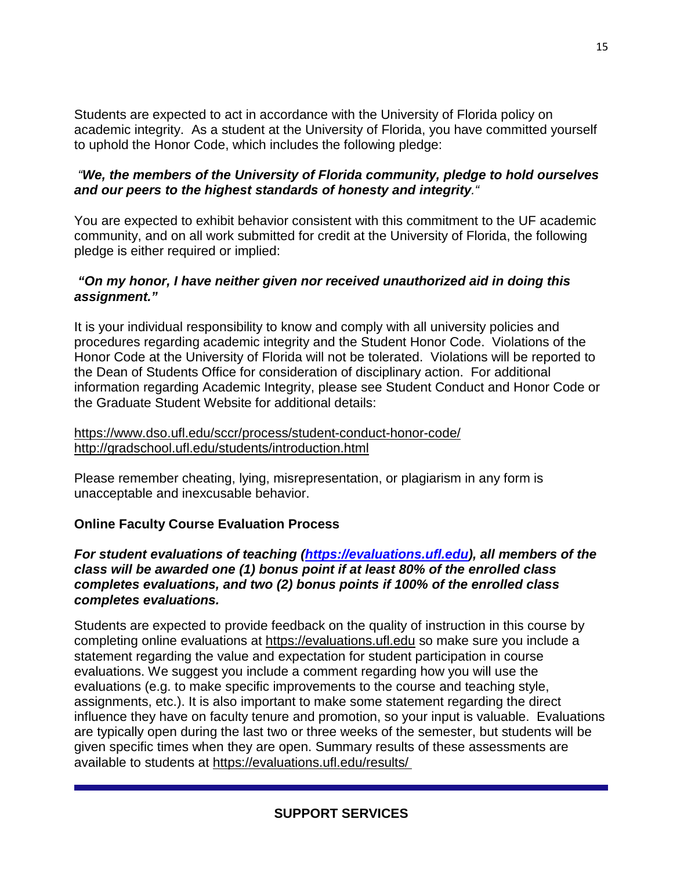Students are expected to act in accordance with the University of Florida policy on academic integrity. As a student at the University of Florida, you have committed yourself to uphold the Honor Code, which includes the following pledge:

#### *"We, the members of the University of Florida community, pledge to hold ourselves and our peers to the highest standards of honesty and integrity."*

You are expected to exhibit behavior consistent with this commitment to the UF academic community, and on all work submitted for credit at the University of Florida, the following pledge is either required or implied:

#### *"On my honor, I have neither given nor received unauthorized aid in doing this assignment."*

It is your individual responsibility to know and comply with all university policies and procedures regarding academic integrity and the Student Honor Code. Violations of the Honor Code at the University of Florida will not be tolerated. Violations will be reported to the Dean of Students Office for consideration of disciplinary action. For additional information regarding Academic Integrity, please see Student Conduct and Honor Code or the Graduate Student Website for additional details:

<https://www.dso.ufl.edu/sccr/process/student-conduct-honor-code/> <http://gradschool.ufl.edu/students/introduction.html>

Please remember cheating, lying, misrepresentation, or plagiarism in any form is unacceptable and inexcusable behavior.

### **Online Faculty Course Evaluation Process**

### *For student evaluations of teaching [\(https://evaluations.ufl.edu\)](https://evaluations.ufl.edu/), all members of the class will be awarded one (1) bonus point if at least 80% of the enrolled class completes evaluations, and two (2) bonus points if 100% of the enrolled class completes evaluations.*

Students are expected to provide feedback on the quality of instruction in this course by completing online evaluations at [https://evaluations.ufl.edu](https://evaluations.ufl.edu/) so make sure you include a statement regarding the value and expectation for student participation in course evaluations. We suggest you include a comment regarding how you will use the evaluations (e.g. to make specific improvements to the course and teaching style, assignments, etc.). It is also important to make some statement regarding the direct influence they have on faculty tenure and promotion, so your input is valuable. Evaluations are typically open during the last two or three weeks of the semester, but students will be given specific times when they are open. Summary results of these assessments are available to students at [https://evaluations.ufl.edu/results/](https://evaluations.ufl.edu/results/ )

### **SUPPORT SERVICES**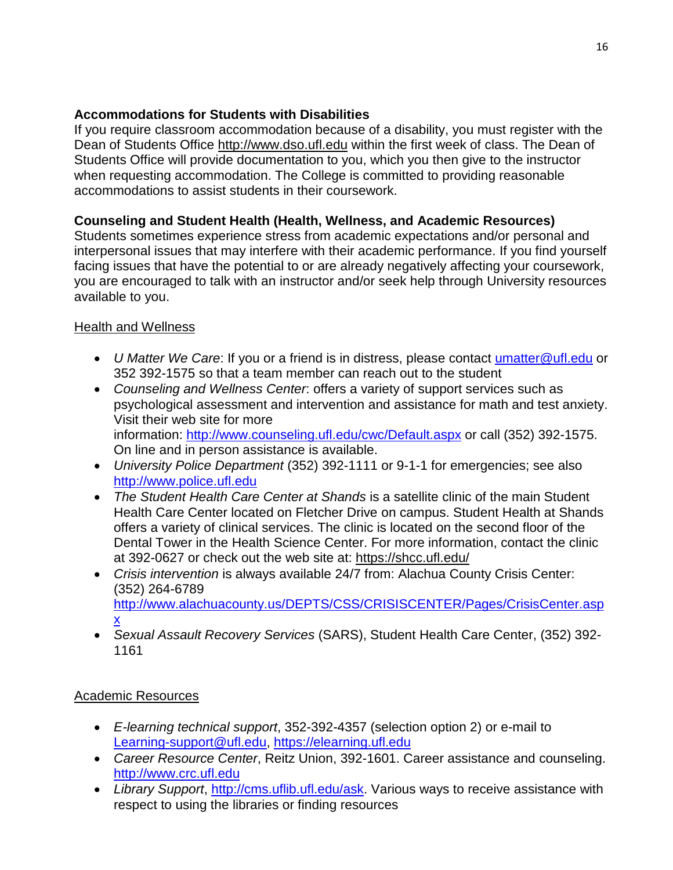### **Accommodations for Students with Disabilities**

If you require classroom accommodation because of a disability, you must register with the Dean of Students Office [http://www.dso.ufl.edu](http://www.dso.ufl.edu/) within the first week of class. The Dean of Students Office will provide documentation to you, which you then give to the instructor when requesting accommodation. The College is committed to providing reasonable accommodations to assist students in their coursework.

# **Counseling and Student Health (Health, Wellness, and Academic Resources)**

Students sometimes experience stress from academic expectations and/or personal and interpersonal issues that may interfere with their academic performance. If you find yourself facing issues that have the potential to or are already negatively affecting your coursework, you are encouraged to talk with an instructor and/or seek help through University resources available to you.

### Health and Wellness

- *U Matter We Care*: If you or a friend is in distress, please contact [umatter@ufl.edu](mailto:umatter@ufl.edu) or 352 392-1575 so that a team member can reach out to the student
- *Counseling and Wellness Center*: offers a variety of support services such as psychological assessment and intervention and assistance for math and test anxiety. Visit their web site for more information: <http://www.counseling.ufl.edu/cwc/Default.aspx> or call (352) 392-1575. On line and in person assistance is available.
- *University Police Department* (352) 392-1111 or 9-1-1 for emergencies; see also [http://www.police.ufl.edu](http://www.police.ufl.edu/)
- *The Student Health Care Center at Shands* is a satellite clinic of the main Student Health Care Center located on Fletcher Drive on campus. Student Health at Shands offers a variety of clinical services. The clinic is located on the second floor of the Dental Tower in the Health Science Center. For more information, contact the clinic at 392-0627 or check out the web site at: <https://shcc.ufl.edu/>
- *Crisis intervention* is always available 24/7 from: Alachua County Crisis Center: (352) 264-6789 [http://www.alachuacounty.us/DEPTS/CSS/CRISISCENTER/Pages/CrisisCenter.asp](http://www.alachuacounty.us/DEPTS/CSS/CRISISCENTER/Pages/CrisisCenter.aspx) [x](http://www.alachuacounty.us/DEPTS/CSS/CRISISCENTER/Pages/CrisisCenter.aspx)
- *Sexual Assault Recovery Services* (SARS), Student Health Care Center, (352) 392- 1161

### Academic Resources

- *E-learning technical support*, 352-392-4357 (selection option 2) or e-mail to [Learning-support@ufl.edu,](mailto:Learning-support@ufl.edu) [https://elearning.ufl.edu](https://elearning.ufl.edu/)
- *Career Resource Center*, Reitz Union, 392-1601. Career assistance and counseling. [http://www.crc.ufl.edu](http://www.crc.ufl.edu/)
- Library Support, [http://cms.uflib.ufl.edu/ask.](http://cms.uflib.ufl.edu/ask) Various ways to receive assistance with respect to using the libraries or finding resources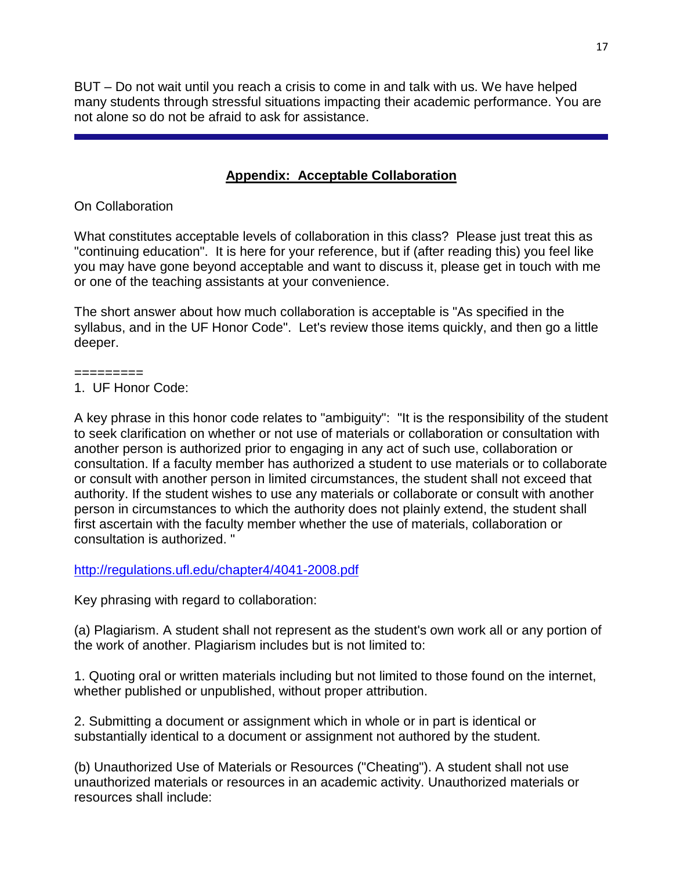BUT – Do not wait until you reach a crisis to come in and talk with us. We have helped many students through stressful situations impacting their academic performance. You are not alone so do not be afraid to ask for assistance.

# **Appendix: Acceptable Collaboration**

On Collaboration

What constitutes acceptable levels of collaboration in this class? Please just treat this as "continuing education". It is here for your reference, but if (after reading this) you feel like you may have gone beyond acceptable and want to discuss it, please get in touch with me or one of the teaching assistants at your convenience.

The short answer about how much collaboration is acceptable is "As specified in the syllabus, and in the UF Honor Code". Let's review those items quickly, and then go a little deeper.

=========

1. UF Honor Code:

A key phrase in this honor code relates to "ambiguity": "It is the responsibility of the student to seek clarification on whether or not use of materials or collaboration or consultation with another person is authorized prior to engaging in any act of such use, collaboration or consultation. If a faculty member has authorized a student to use materials or to collaborate or consult with another person in limited circumstances, the student shall not exceed that authority. If the student wishes to use any materials or collaborate or consult with another person in circumstances to which the authority does not plainly extend, the student shall first ascertain with the faculty member whether the use of materials, collaboration or consultation is authorized. "

<http://regulations.ufl.edu/chapter4/4041-2008.pdf>

Key phrasing with regard to collaboration:

(a) Plagiarism. A student shall not represent as the student's own work all or any portion of the work of another. Plagiarism includes but is not limited to:

1. Quoting oral or written materials including but not limited to those found on the internet, whether published or unpublished, without proper attribution.

2. Submitting a document or assignment which in whole or in part is identical or substantially identical to a document or assignment not authored by the student.

(b) Unauthorized Use of Materials or Resources ("Cheating"). A student shall not use unauthorized materials or resources in an academic activity. Unauthorized materials or resources shall include: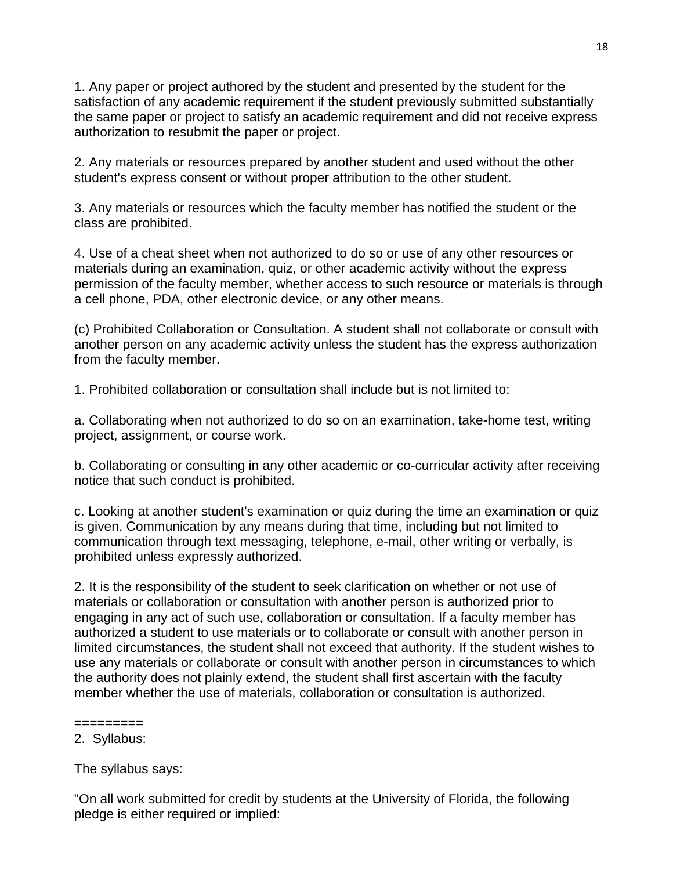1. Any paper or project authored by the student and presented by the student for the satisfaction of any academic requirement if the student previously submitted substantially the same paper or project to satisfy an academic requirement and did not receive express authorization to resubmit the paper or project.

2. Any materials or resources prepared by another student and used without the other student's express consent or without proper attribution to the other student.

3. Any materials or resources which the faculty member has notified the student or the class are prohibited.

4. Use of a cheat sheet when not authorized to do so or use of any other resources or materials during an examination, quiz, or other academic activity without the express permission of the faculty member, whether access to such resource or materials is through a cell phone, PDA, other electronic device, or any other means.

(c) Prohibited Collaboration or Consultation. A student shall not collaborate or consult with another person on any academic activity unless the student has the express authorization from the faculty member.

1. Prohibited collaboration or consultation shall include but is not limited to:

a. Collaborating when not authorized to do so on an examination, take-home test, writing project, assignment, or course work.

b. Collaborating or consulting in any other academic or co-curricular activity after receiving notice that such conduct is prohibited.

c. Looking at another student's examination or quiz during the time an examination or quiz is given. Communication by any means during that time, including but not limited to communication through text messaging, telephone, e-mail, other writing or verbally, is prohibited unless expressly authorized.

2. It is the responsibility of the student to seek clarification on whether or not use of materials or collaboration or consultation with another person is authorized prior to engaging in any act of such use, collaboration or consultation. If a faculty member has authorized a student to use materials or to collaborate or consult with another person in limited circumstances, the student shall not exceed that authority. If the student wishes to use any materials or collaborate or consult with another person in circumstances to which the authority does not plainly extend, the student shall first ascertain with the faculty member whether the use of materials, collaboration or consultation is authorized.

The syllabus says:

"On all work submitted for credit by students at the University of Florida, the following pledge is either required or implied:

<sup>=========</sup> 2. Syllabus: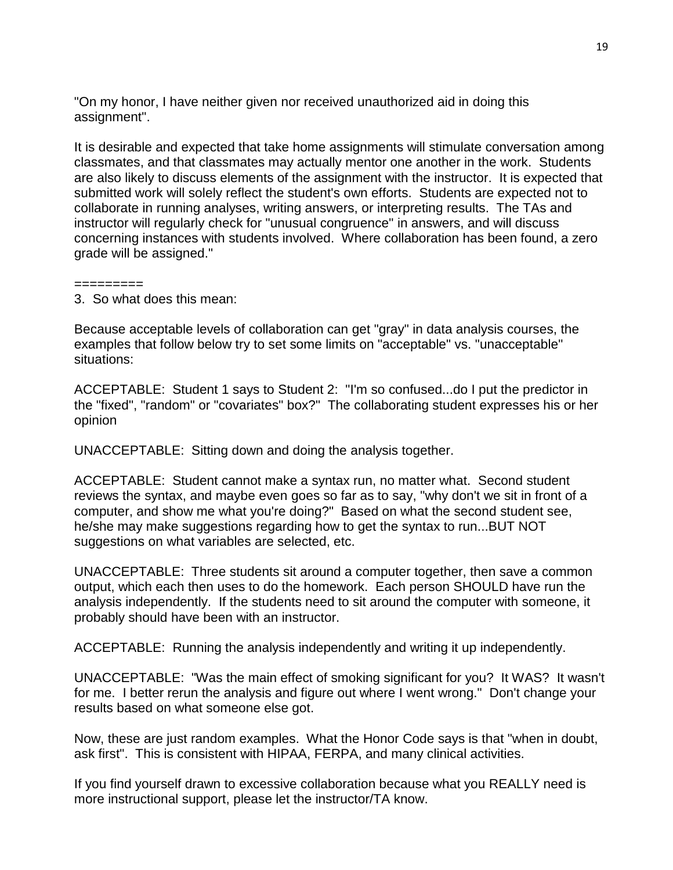"On my honor, I have neither given nor received unauthorized aid in doing this assignment".

It is desirable and expected that take home assignments will stimulate conversation among classmates, and that classmates may actually mentor one another in the work. Students are also likely to discuss elements of the assignment with the instructor. It is expected that submitted work will solely reflect the student's own efforts. Students are expected not to collaborate in running analyses, writing answers, or interpreting results. The TAs and instructor will regularly check for "unusual congruence" in answers, and will discuss concerning instances with students involved. Where collaboration has been found, a zero grade will be assigned."

#### =========

3. So what does this mean:

Because acceptable levels of collaboration can get "gray" in data analysis courses, the examples that follow below try to set some limits on "acceptable" vs. "unacceptable" situations:

ACCEPTABLE: Student 1 says to Student 2: "I'm so confused...do I put the predictor in the "fixed", "random" or "covariates" box?" The collaborating student expresses his or her opinion

UNACCEPTABLE: Sitting down and doing the analysis together.

ACCEPTABLE: Student cannot make a syntax run, no matter what. Second student reviews the syntax, and maybe even goes so far as to say, "why don't we sit in front of a computer, and show me what you're doing?" Based on what the second student see, he/she may make suggestions regarding how to get the syntax to run...BUT NOT suggestions on what variables are selected, etc.

UNACCEPTABLE: Three students sit around a computer together, then save a common output, which each then uses to do the homework. Each person SHOULD have run the analysis independently. If the students need to sit around the computer with someone, it probably should have been with an instructor.

ACCEPTABLE: Running the analysis independently and writing it up independently.

UNACCEPTABLE: "Was the main effect of smoking significant for you? It WAS? It wasn't for me. I better rerun the analysis and figure out where I went wrong." Don't change your results based on what someone else got.

Now, these are just random examples. What the Honor Code says is that "when in doubt, ask first". This is consistent with HIPAA, FERPA, and many clinical activities.

If you find yourself drawn to excessive collaboration because what you REALLY need is more instructional support, please let the instructor/TA know.